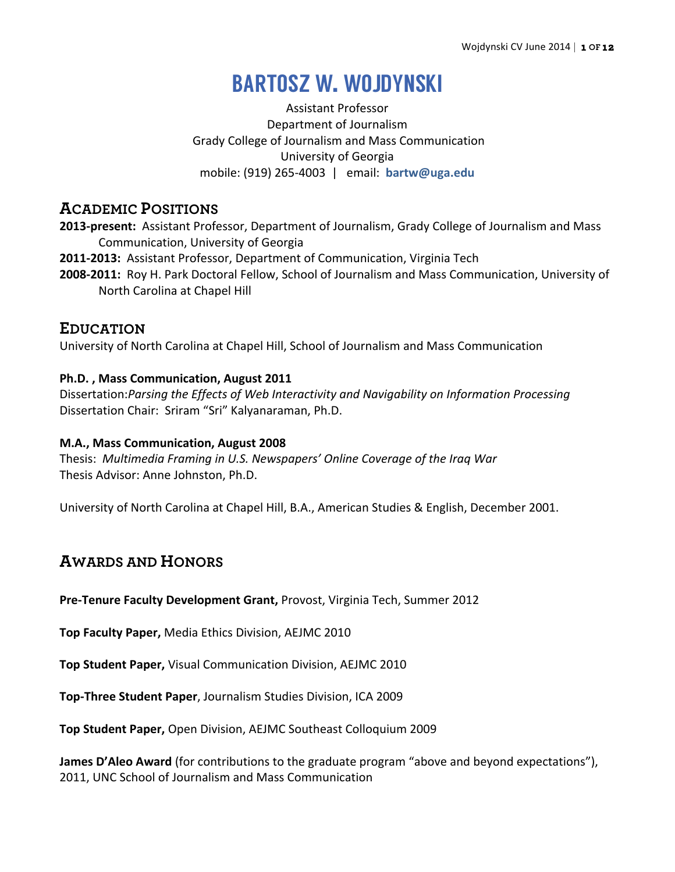# BARTOSZ W. WOJDYNSKI

Assistant Professor Department of Journalism Grady College of Journalism and Mass Communication University of Georgia mobile: (919) 265-4003 | email: **bartw@uga.edu**

# **ACADEMIC POSITIONS**

- **2013-present:** Assistant Professor, Department of Journalism, Grady College of Journalism and Mass Communication, University of Georgia
- **2011-2013:** Assistant Professor, Department of Communication, Virginia Tech
- **2008-2011:** Roy H. Park Doctoral Fellow, School of Journalism and Mass Communication, University of North Carolina at Chapel Hill

# **EDUCATION**

University of North Carolina at Chapel Hill, School of Journalism and Mass Communication

# **Ph.D., Mass Communication, August 2011**

Dissertation: Parsing the Effects of Web Interactivity and Navigability on Information Processing Dissertation Chair: Sriram "Sri" Kalyanaraman, Ph.D.

# **M.A., Mass Communication, August 2008**

Thesis: Multimedia Framing in U.S. Newspapers' Online Coverage of the Irag War Thesis Advisor: Anne Johnston, Ph.D.

University of North Carolina at Chapel Hill, B.A., American Studies & English, December 2001.

# **AWARDS AND HONORS**

**Pre-Tenure Faculty Development Grant, Provost, Virginia Tech, Summer 2012** 

**Top Faculty Paper, Media Ethics Division, AEJMC 2010** 

**Top Student Paper, Visual Communication Division, AEJMC 2010** 

**Top-Three Student Paper**, Journalism Studies Division, ICA 2009

**Top Student Paper, Open Division, AEJMC Southeast Colloquium 2009** 

**James D'Aleo Award** (for contributions to the graduate program "above and beyond expectations"), 2011, UNC School of Journalism and Mass Communication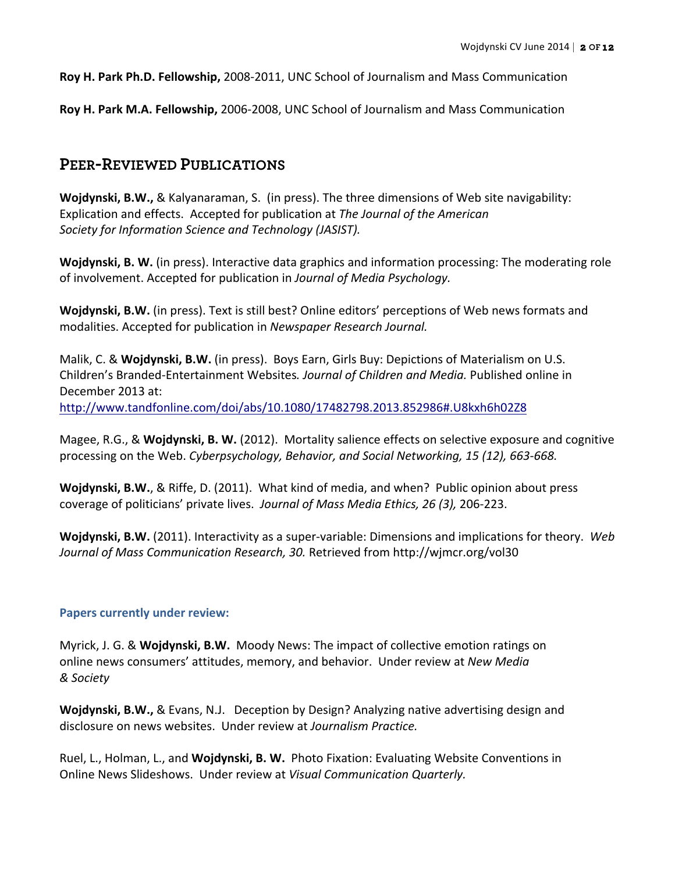**Roy H. Park Ph.D. Fellowship,** 2008-2011, UNC School of Journalism and Mass Communication

**Roy H. Park M.A. Fellowship, 2006-2008, UNC School of Journalism and Mass Communication** 

# **PEER-REVIEWED PUBLICATIONS**

**Wojdynski, B.W.,** & Kalyanaraman, S. (in press). The three dimensions of Web site navigability: Explication and effects. Accepted for publication at *The Journal of the American* Society for Information Science and Technology (JASIST).

**Wojdynski, B. W.** (in press). Interactive data graphics and information processing: The moderating role of involvement. Accepted for publication in *Journal of Media Psychology.* 

**Wojdynski, B.W.** (in press). Text is still best? Online editors' perceptions of Web news formats and modalities. Accepted for publication in *Newspaper Research Journal.* 

Malik, C. & Wojdynski, B.W. (in press). Boys Earn, Girls Buy: Depictions of Materialism on U.S. Children's Branded-Entertainment Websites. Journal of Children and Media. Published online in December 2013 at: http://www.tandfonline.com/doi/abs/10.1080/17482798.2013.852986#.U8kxh6h02Z8

Magee, R.G., & Wojdynski, B. W. (2012). Mortality salience effects on selective exposure and cognitive processing on the Web. Cyberpsychology, Behavior, and Social Networking, 15 (12), 663-668.

**Wojdynski, B.W.**, & Riffe, D. (2011). What kind of media, and when? Public opinion about press coverage of politicians' private lives. Journal of Mass Media Ethics, 26 (3), 206-223.

**Wojdynski, B.W.** (2011). Interactivity as a super-variable: Dimensions and implications for theory. Web Journal of Mass Communication Research, 30. Retrieved from http://wjmcr.org/vol30

## **Papers currently under review:**

Myrick, J. G. & **Wojdynski, B.W.** Moody News: The impact of collective emotion ratings on online news consumers' attitudes, memory, and behavior. Under review at *New Media & Society*

**Wojdynski, B.W.,** & Evans, N.J. Deception by Design? Analyzing native advertising design and disclosure on news websites. Under review at *Journalism Practice.* 

Ruel, L., Holman, L., and **Wojdynski, B. W.** Photo Fixation: Evaluating Website Conventions in Online News Slideshows. Under review at *Visual Communication Quarterly.*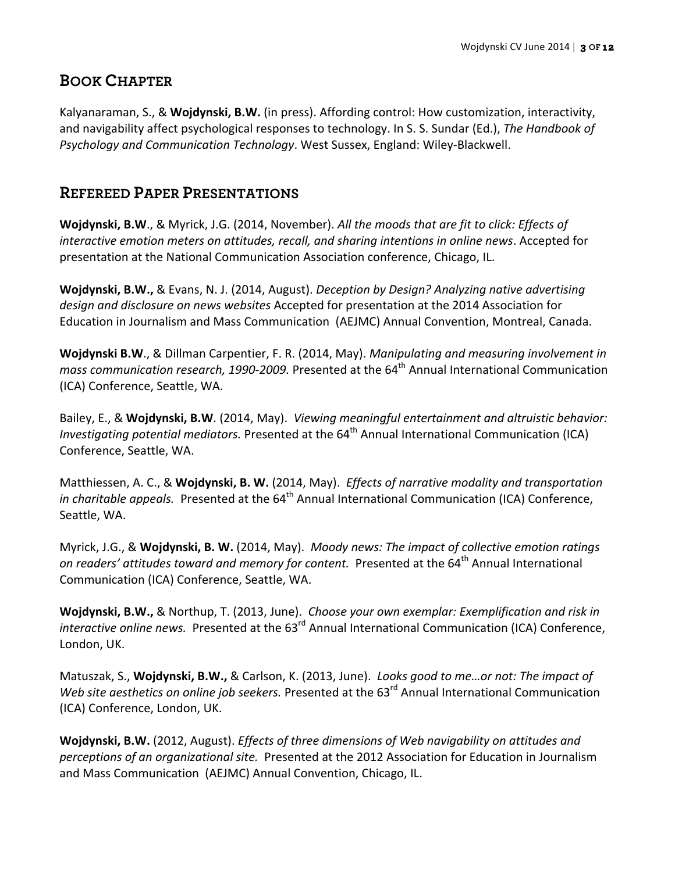# **BOOK CHAPTER**

Kalyanaraman, S., & Wojdynski, B.W. (in press). Affording control: How customization, interactivity, and navigability affect psychological responses to technology. In S. S. Sundar (Ed.), *The Handbook of Psychology and Communication Technology*. West Sussex, England: Wiley-Blackwell.

# **REFEREED PAPER PRESENTATIONS**

**Wojdynski, B.W.**, & Myrick, J.G. (2014, November). All the moods that are fit to click: Effects of *interactive emotion meters on attitudes, recall, and sharing intentions in online news.* Accepted for presentation at the National Communication Association conference, Chicago, IL.

**Wojdynski, B.W.,** & Evans, N. J. (2014, August). *Deception by Design? Analyzing native advertising* design and disclosure on news websites Accepted for presentation at the 2014 Association for Education in Journalism and Mass Communication (AEJMC) Annual Convention, Montreal, Canada.

**Wojdynski B.W., & Dillman Carpentier, F. R. (2014, May).** *Manipulating and measuring involvement in mass communication research, 1990-2009.* Presented at the 64<sup>th</sup> Annual International Communication (ICA) Conference, Seattle, WA. 

Bailey, E., & Wojdynski, B.W. (2014, May). Viewing meaningful entertainment and altruistic behavior: *Investigating potential mediators.* Presented at the 64<sup>th</sup> Annual International Communication (ICA) Conference, Seattle, WA.

Matthiessen, A. C., & Wojdynski, B. W. (2014, May). *Effects of narrative modality and transportation in charitable appeals.* Presented at the 64<sup>th</sup> Annual International Communication (ICA) Conference, Seattle, WA.

Myrick, J.G., & Wojdynski, B. W. (2014, May). Moody news: The impact of collective emotion ratings *on readers'* attitudes *toward and memory for content.* Presented at the 64<sup>th</sup> Annual International Communication (ICA) Conference, Seattle, WA.

Wojdynski, B.W., & Northup, T. (2013, June). Choose your own exemplar: Exemplification and risk in *interactive online news.* Presented at the 63<sup>rd</sup> Annual International Communication (ICA) Conference, London, UK.

Matuszak, S., Wojdynski, B.W., & Carlson, K. (2013, June). *Looks good to me...or not: The impact of Web site aesthetics on online job seekers.* Presented at the 63<sup>rd</sup> Annual International Communication (ICA) Conference, London, UK.

**Wojdynski, B.W.** (2012, August). *Effects of three dimensions of Web navigability on attitudes and perceptions of an organizational site.* Presented at the 2012 Association for Education in Journalism and Mass Communication (AEJMC) Annual Convention, Chicago, IL.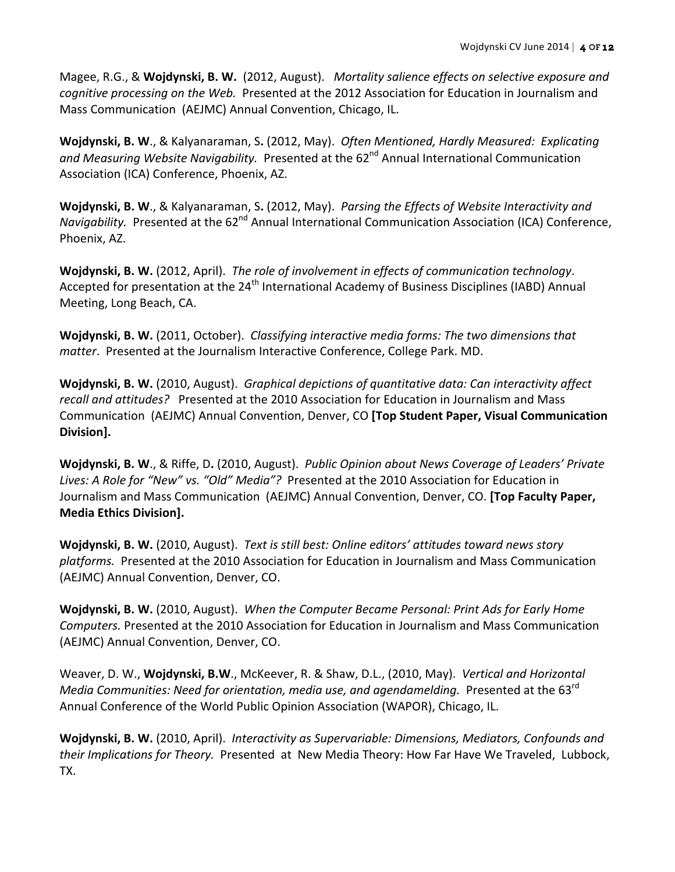Magee, R.G., & Wojdynski, B. W. (2012, August). *Mortality salience effects on selective exposure and cognitive processing on the Web.* Presented at the 2012 Association for Education in Journalism and Mass Communication (AEJMC) Annual Convention, Chicago, IL.

Wojdynski, B. W., & Kalyanaraman, S. (2012, May). Often Mentioned, Hardly Measured: Explicating and Measuring Website Navigability. Presented at the 62<sup>nd</sup> Annual International Communication Association (ICA) Conference, Phoenix, AZ.

**Wojdynski, B. W., & Kalyanaraman, S. (2012, May).** Parsing the Effects of Website Interactivity and *Navigability.* Presented at the 62<sup>nd</sup> Annual International Communication Association (ICA) Conference, Phoenix, AZ.

**Wojdynski, B. W.** (2012, April). The role of involvement in effects of communication technology. Accepted for presentation at the  $24<sup>th</sup>$  International Academy of Business Disciplines (IABD) Annual Meeting, Long Beach, CA.

**Wojdynski, B. W.** (2011, October). *Classifying interactive media forms:* The two dimensions that *matter*. Presented at the Journalism Interactive Conference, College Park. MD.

**Wojdynski, B. W.** (2010, August). *Graphical depictions of quantitative data: Can interactivity affect* recall and attitudes? Presented at the 2010 Association for Education in Journalism and Mass Communication (AEJMC) Annual Convention, Denver, CO [Top Student Paper, Visual Communication **Division].**

**Wojdynski, B. W., & Riffe, D. (2010, August).** *Public Opinion about News Coverage of Leaders' Private* Lives: A Role for "New" vs. "Old" Media"? Presented at the 2010 Association for Education in Journalism and Mass Communication (AEJMC) Annual Convention, Denver, CO. [Top Faculty Paper, **Media Ethics Division].**

Wojdynski, B. W. (2010, August). Text is still best: Online editors' attitudes toward news story platforms. Presented at the 2010 Association for Education in Journalism and Mass Communication (AEJMC) Annual Convention, Denver, CO.

**Wojdynski, B. W.** (2010, August). When the Computer Became Personal: Print Ads for Early Home *Computers.* Presented at the 2010 Association for Education in Journalism and Mass Communication (AEJMC) Annual Convention, Denver, CO.

Weaver, D. W., Wojdynski, B.W., McKeever, R. & Shaw, D.L., (2010, May). Vertical and Horizontal *Media Communities: Need for orientation, media use, and agendamelding.* Presented at the 63<sup>rd</sup> Annual Conference of the World Public Opinion Association (WAPOR), Chicago, IL.

Wojdynski, B. W. (2010, April). Interactivity as Supervariable: Dimensions, Mediators, Confounds and *their Implications for Theory.* Presented at New Media Theory: How Far Have We Traveled, Lubbock, TX.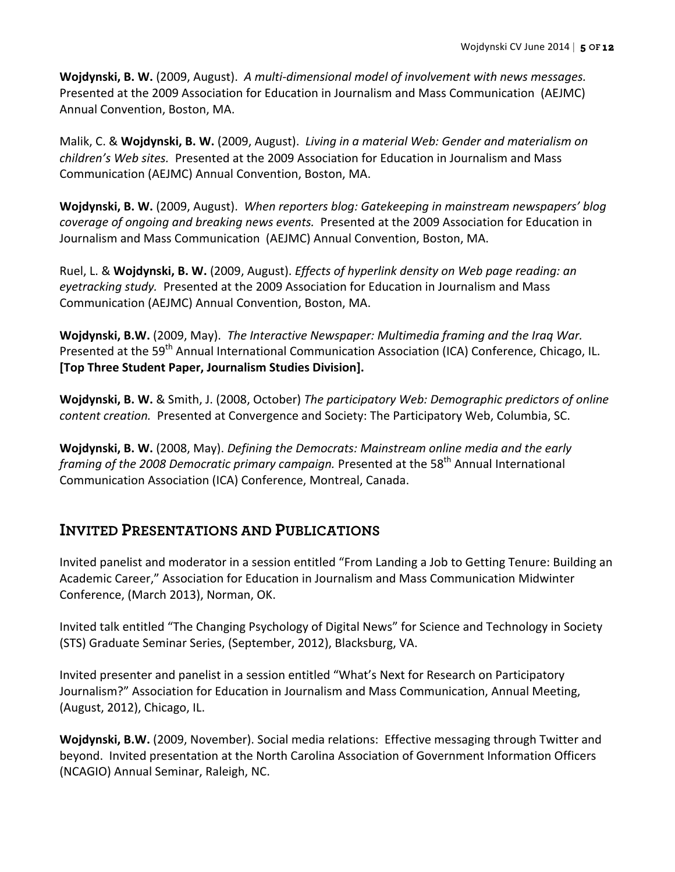**Wojdynski, B. W.** (2009, August). A multi-dimensional model of involvement with news messages. Presented at the 2009 Association for Education in Journalism and Mass Communication (AEJMC) Annual Convention, Boston, MA.

Malik, C. & **Wojdynski, B. W.** (2009, August). *Living in a material Web: Gender and materialism on children's Web sites.* Presented at the 2009 Association for Education in Journalism and Mass Communication (AEJMC) Annual Convention, Boston, MA.

**Wojdynski, B. W.** (2009, August). When reporters blog: Gatekeeping in mainstream newspapers' blog *coverage of ongoing and breaking news events.* Presented at the 2009 Association for Education in Journalism and Mass Communication (AEJMC) Annual Convention, Boston, MA.

Ruel, L. & Wojdynski, B. W. (2009, August). *Effects of hyperlink density on Web page reading: an* eyetracking study. Presented at the 2009 Association for Education in Journalism and Mass Communication (AEJMC) Annual Convention, Boston, MA.

Wojdynski, B.W. (2009, May). The Interactive Newspaper: Multimedia framing and the Iraq War. Presented at the 59<sup>th</sup> Annual International Communication Association (ICA) Conference, Chicago, IL. [Top Three Student Paper, Journalism Studies Division].

Wojdynski, B. W. & Smith, J. (2008, October) The participatory Web: Demographic predictors of online *content creation.* Presented at Convergence and Society: The Participatory Web, Columbia, SC.

**Wojdynski, B. W.** (2008, May). *Defining the Democrats: Mainstream online media and the early framing of the 2008 Democratic primary campaign.* Presented at the 58<sup>th</sup> Annual International Communication Association (ICA) Conference, Montreal, Canada.

# **INVITED PRESENTATIONS AND PUBLICATIONS**

Invited panelist and moderator in a session entitled "From Landing a Job to Getting Tenure: Building an Academic Career," Association for Education in Journalism and Mass Communication Midwinter Conference, (March 2013), Norman, OK.

Invited talk entitled "The Changing Psychology of Digital News" for Science and Technology in Society (STS) Graduate Seminar Series, (September, 2012), Blacksburg, VA.

Invited presenter and panelist in a session entitled "What's Next for Research on Participatory Journalism?" Association for Education in Journalism and Mass Communication, Annual Meeting, (August, 2012), Chicago, IL.

**Wojdynski, B.W.** (2009, November). Social media relations: Effective messaging through Twitter and beyond. Invited presentation at the North Carolina Association of Government Information Officers (NCAGIO) Annual Seminar, Raleigh, NC.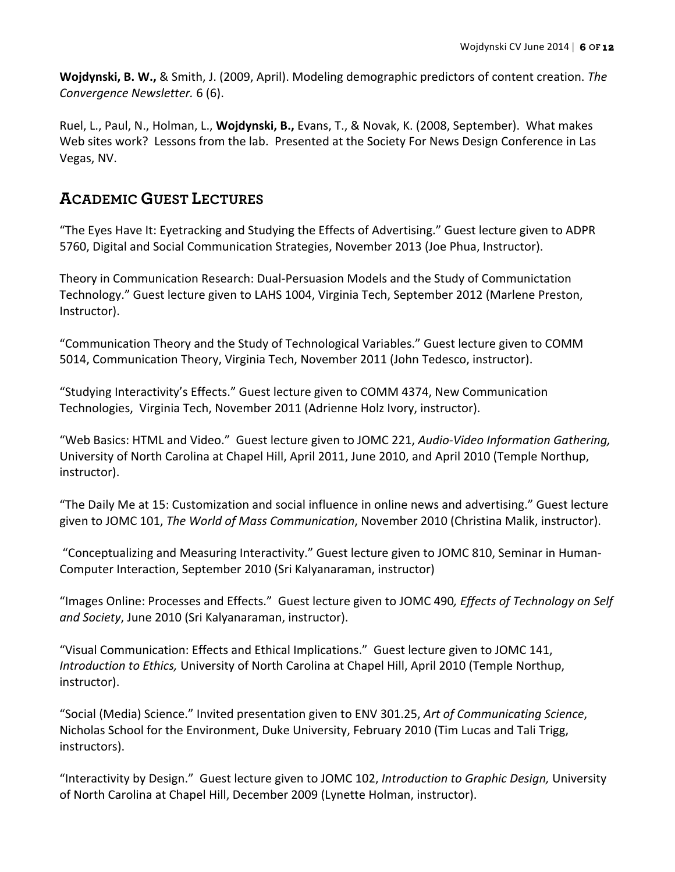**Wojdynski, B. W.,** & Smith, J. (2009, April). Modeling demographic predictors of content creation. *The Convergence Newsletter.* 6 (6). 

Ruel, L., Paul, N., Holman, L., Wojdynski, B., Evans, T., & Novak, K. (2008, September). What makes Web sites work? Lessons from the lab. Presented at the Society For News Design Conference in Las Vegas, NV.

# **ACADEMIC GUEST LECTURES**

"The Eyes Have It: Eyetracking and Studying the Effects of Advertising." Guest lecture given to ADPR 5760, Digital and Social Communication Strategies, November 2013 (Joe Phua, Instructor).

Theory in Communication Research: Dual-Persuasion Models and the Study of Communictation Technology." Guest lecture given to LAHS 1004, Virginia Tech, September 2012 (Marlene Preston, Instructor).

"Communication Theory and the Study of Technological Variables." Guest lecture given to COMM 5014, Communication Theory, Virginia Tech, November 2011 (John Tedesco, instructor).

"Studying Interactivity's Effects." Guest lecture given to COMM 4374, New Communication Technologies, Virginia Tech, November 2011 (Adrienne Holz Ivory, instructor).

"Web Basics: HTML and Video." Guest lecture given to JOMC 221, *Audio-Video Information Gathering*, University of North Carolina at Chapel Hill, April 2011, June 2010, and April 2010 (Temple Northup, instructor).

"The Daily Me at 15: Customization and social influence in online news and advertising." Guest lecture given to JOMC 101, The World of Mass Communication, November 2010 (Christina Malik, instructor).

"Conceptualizing and Measuring Interactivity." Guest lecture given to JOMC 810, Seminar in Human-Computer Interaction, September 2010 (Sri Kalyanaraman, instructor)

"Images Online: Processes and Effects." Guest lecture given to JOMC 490, *Effects of Technology on Self* and Society, June 2010 (Sri Kalyanaraman, instructor).

"Visual Communication: Effects and Ethical Implications." Guest lecture given to JOMC 141, *Introduction to Ethics,* University of North Carolina at Chapel Hill, April 2010 (Temple Northup, instructor).

"Social (Media) Science." Invited presentation given to ENV 301.25, Art of Communicating Science, Nicholas School for the Environment, Duke University, February 2010 (Tim Lucas and Tali Trigg, instructors).

"Interactivity by Design." Guest lecture given to JOMC 102, *Introduction to Graphic Design*, University of North Carolina at Chapel Hill, December 2009 (Lynette Holman, instructor).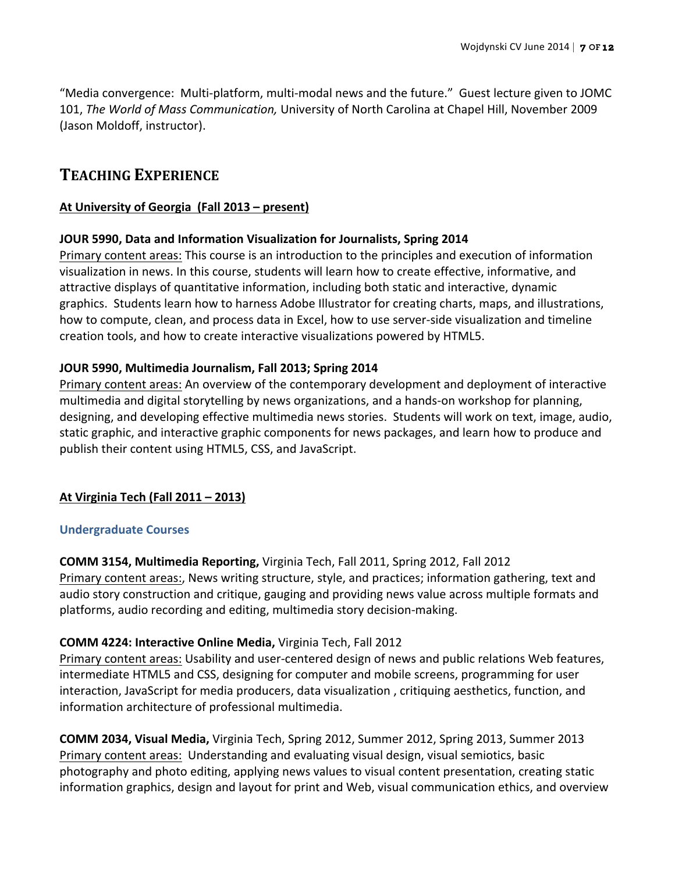"Media convergence: Multi-platform, multi-modal news and the future." Guest lecture given to JOMC 101, The World of Mass Communication, University of North Carolina at Chapel Hill, November 2009 (Jason Moldoff, instructor).

# **TEACHING EXPERIENCE**

## At University of Georgia (Fall 2013 – present)

## **JOUR 5990, Data and Information Visualization for Journalists, Spring 2014**

Primary content areas: This course is an introduction to the principles and execution of information visualization in news. In this course, students will learn how to create effective, informative, and attractive displays of quantitative information, including both static and interactive, dynamic graphics. Students learn how to harness Adobe Illustrator for creating charts, maps, and illustrations, how to compute, clean, and process data in Excel, how to use server-side visualization and timeline creation tools, and how to create interactive visualizations powered by HTML5.

## **JOUR 5990, Multimedia Journalism, Fall 2013; Spring 2014**

Primary content areas: An overview of the contemporary development and deployment of interactive multimedia and digital storytelling by news organizations, and a hands-on workshop for planning, designing, and developing effective multimedia news stories. Students will work on text, image, audio, static graphic, and interactive graphic components for news packages, and learn how to produce and publish their content using HTML5, CSS, and JavaScript.

# **At Virginia Tech (Fall 2011 – 2013)**

## **Undergraduate Courses**

**COMM 3154, Multimedia Reporting, Virginia Tech, Fall 2011, Spring 2012, Fall 2012** 

Primary content areas:, News writing structure, style, and practices; information gathering, text and audio story construction and critique, gauging and providing news value across multiple formats and platforms, audio recording and editing, multimedia story decision-making.

## **COMM 4224: Interactive Online Media, Virginia Tech, Fall 2012**

Primary content areas: Usability and user-centered design of news and public relations Web features, intermediate HTML5 and CSS, designing for computer and mobile screens, programming for user interaction, JavaScript for media producers, data visualization, critiquing aesthetics, function, and information architecture of professional multimedia.

**COMM 2034, Visual Media,** Virginia Tech, Spring 2012, Summer 2012, Spring 2013, Summer 2013 Primary content areas: Understanding and evaluating visual design, visual semiotics, basic photography and photo editing, applying news values to visual content presentation, creating static information graphics, design and layout for print and Web, visual communication ethics, and overview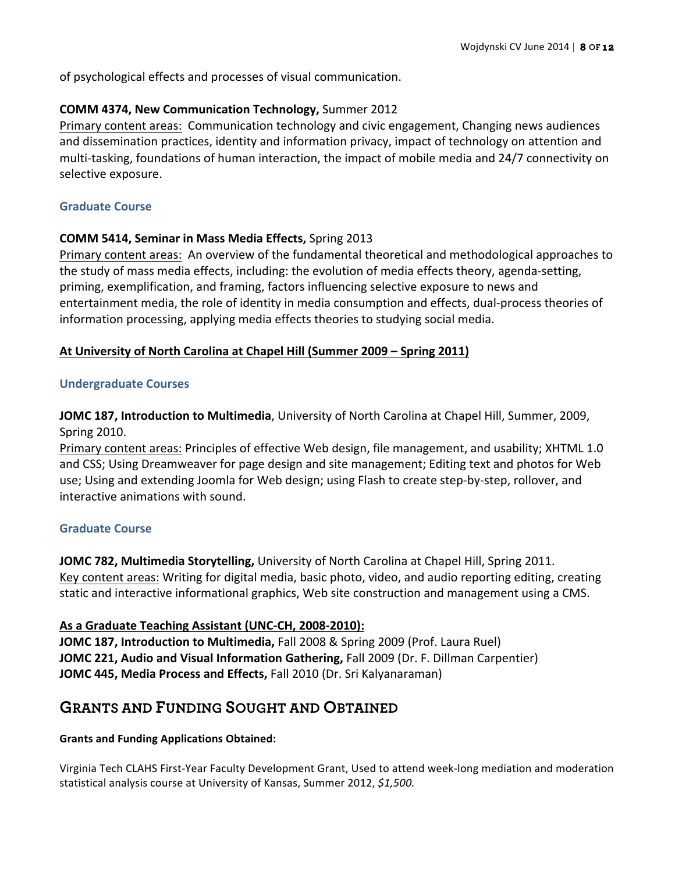of psychological effects and processes of visual communication.

## **COMM 4374, New Communication Technology, Summer 2012**

Primary content areas: Communication technology and civic engagement, Changing news audiences and dissemination practices, identity and information privacy, impact of technology on attention and multi-tasking, foundations of human interaction, the impact of mobile media and 24/7 connectivity on selective exposure.

## **Graduate Course**

## **COMM 5414, Seminar in Mass Media Effects, Spring 2013**

Primary content areas: An overview of the fundamental theoretical and methodological approaches to the study of mass media effects, including: the evolution of media effects theory, agenda-setting, priming, exemplification, and framing, factors influencing selective exposure to news and entertainment media, the role of identity in media consumption and effects, dual-process theories of information processing, applying media effects theories to studying social media.

## **At University of North Carolina at Chapel Hill (Summer 2009 – Spring 2011)**

## **Undergraduate Courses**

**JOMC 187, Introduction to Multimedia**, University of North Carolina at Chapel Hill, Summer, 2009, **Spring 2010.** 

Primary content areas: Principles of effective Web design, file management, and usability; XHTML 1.0 and CSS; Using Dreamweaver for page design and site management; Editing text and photos for Web use; Using and extending Joomla for Web design; using Flash to create step-by-step, rollover, and interactive animations with sound.

## **Graduate Course**

**JOMC 782, Multimedia Storytelling,** University of North Carolina at Chapel Hill, Spring 2011. Key content areas: Writing for digital media, basic photo, video, and audio reporting editing, creating static and interactive informational graphics, Web site construction and management using a CMS.

## As a Graduate Teaching Assistant (UNC-CH, 2008-2010):

**JOMC 187, Introduction to Multimedia, Fall 2008 & Spring 2009 (Prof. Laura Ruel) JOMC 221, Audio and Visual Information Gathering, Fall 2009 (Dr. F. Dillman Carpentier) JOMC 445, Media Process and Effects, Fall 2010 (Dr. Sri Kalyanaraman)** 

# **GRANTS AND FUNDING SOUGHT AND OBTAINED**

## **Grants and Funding Applications Obtained:**

Virginia Tech CLAHS First-Year Faculty Development Grant, Used to attend week-long mediation and moderation statistical analysis course at University of Kansas, Summer 2012, \$1,500.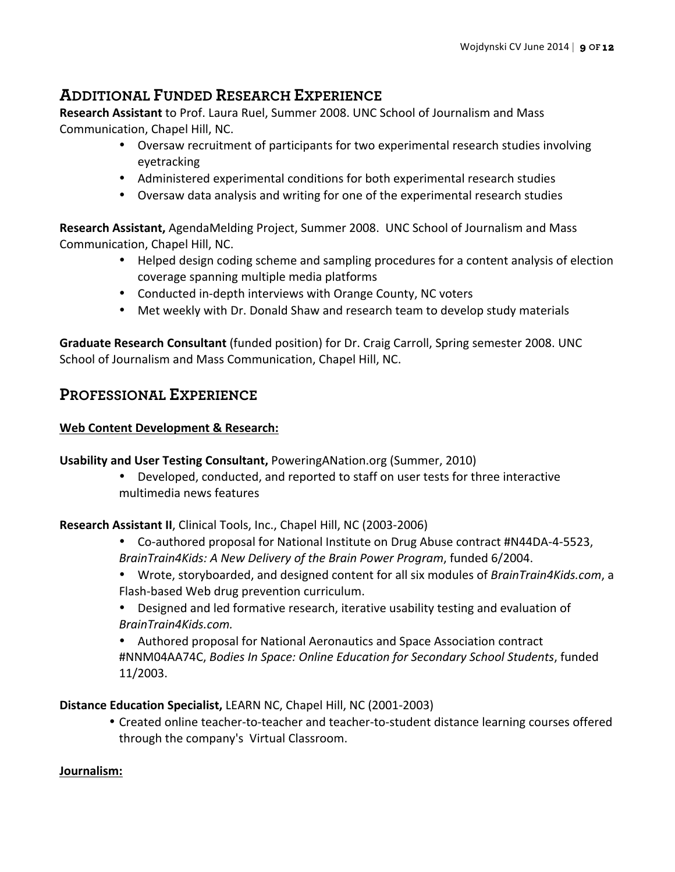# **ADDITIONAL FUNDED RESEARCH EXPERIENCE**

**Research Assistant** to Prof. Laura Ruel, Summer 2008. UNC School of Journalism and Mass Communication, Chapel Hill, NC.

- Oversaw recruitment of participants for two experimental research studies involving eyetracking
- Administered experimental conditions for both experimental research studies
- Oversaw data analysis and writing for one of the experimental research studies

**Research Assistant,** AgendaMelding Project, Summer 2008. UNC School of Journalism and Mass Communication, Chapel Hill, NC.

- Helped design coding scheme and sampling procedures for a content analysis of election coverage spanning multiple media platforms
- Conducted in-depth interviews with Orange County, NC voters
- Met weekly with Dr. Donald Shaw and research team to develop study materials

**Graduate Research Consultant** (funded position) for Dr. Craig Carroll, Spring semester 2008. UNC School of Journalism and Mass Communication, Chapel Hill, NC.

# **PROFESSIONAL EXPERIENCE**

## **Web Content Development & Research:**

# **Usability and User Testing Consultant, PoweringANation.org (Summer, 2010)**

• Developed, conducted, and reported to staff on user tests for three interactive multimedia news features

**Research Assistant II**, Clinical Tools, Inc., Chapel Hill, NC (2003-2006)

- Co-authored proposal for National Institute on Drug Abuse contract #N44DA-4-5523, BrainTrain4Kids: A New Delivery of the Brain Power Program, funded 6/2004.
- Wrote, storyboarded, and designed content for all six modules of *BrainTrain4Kids.com*, a Flash-based Web drug prevention curriculum.
- Designed and led formative research, iterative usability testing and evaluation of *BrainTrain4Kids.com.*
- Authored proposal for National Aeronautics and Space Association contract #NNM04AA74C, *Bodies In Space: Online Education for Secondary School Students*, funded 11/2003.

**Distance Education Specialist, LEARN NC, Chapel Hill, NC (2001-2003)** 

• Created online teacher-to-teacher and teacher-to-student distance learning courses offered through the company's Virtual Classroom.

# **Journalism:**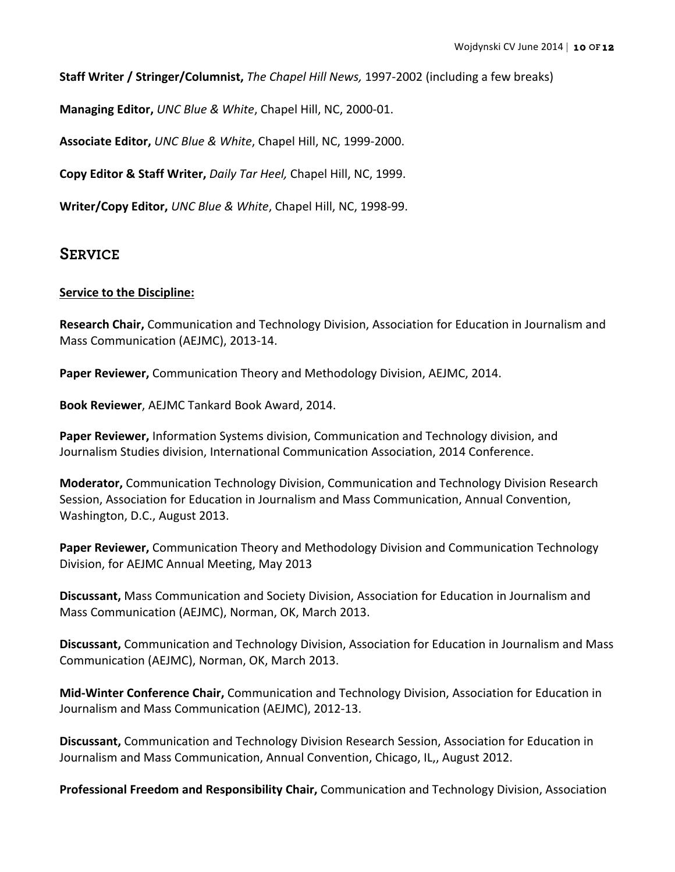**Staff Writer / Stringer/Columnist,** *The Chapel Hill News,* 1997-2002 (including a few breaks)

**Managing Editor,** *UNC Blue & White*, Chapel Hill, NC, 2000-01.

**Associate Editor, UNC Blue & White, Chapel Hill, NC, 1999-2000.** 

**Copy Editor & Staff Writer, Daily Tar Heel, Chapel Hill, NC, 1999.** 

**Writer/Copy Editor,** *UNC Blue & White*, Chapel Hill, NC, 1998-99.

# **SERVICE**

## **Service to the Discipline:**

**Research Chair,** Communication and Technology Division, Association for Education in Journalism and Mass Communication (AEJMC), 2013-14.

**Paper Reviewer,** Communication Theory and Methodology Division, AEJMC, 2014.

**Book Reviewer**, AEJMC Tankard Book Award, 2014.

**Paper Reviewer,** Information Systems division, Communication and Technology division, and Journalism Studies division, International Communication Association, 2014 Conference.

**Moderator,** Communication Technology Division, Communication and Technology Division Research Session, Association for Education in Journalism and Mass Communication, Annual Convention, Washington, D.C., August 2013.

**Paper Reviewer,** Communication Theory and Methodology Division and Communication Technology Division, for AEJMC Annual Meeting, May 2013

**Discussant,** Mass Communication and Society Division, Association for Education in Journalism and Mass Communication (AEJMC), Norman, OK, March 2013.

**Discussant,** Communication and Technology Division, Association for Education in Journalism and Mass Communication (AEJMC), Norman, OK, March 2013.

**Mid-Winter Conference Chair,** Communication and Technology Division, Association for Education in Journalism and Mass Communication (AEJMC), 2012-13.

**Discussant, Communication and Technology Division Research Session, Association for Education in** Journalism and Mass Communication, Annual Convention, Chicago, IL,, August 2012.

**Professional Freedom and Responsibility Chair,** Communication and Technology Division, Association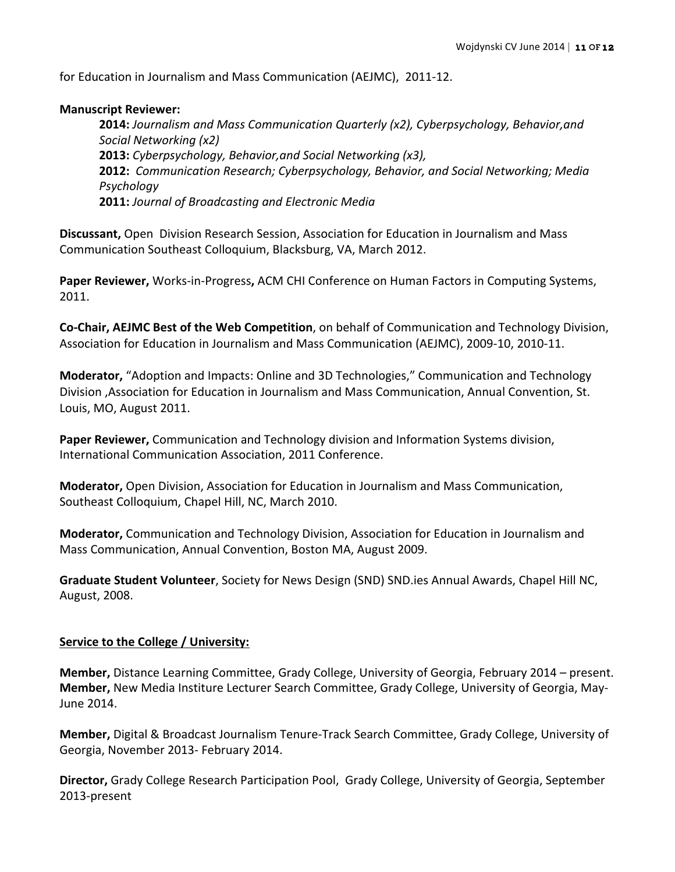for Education in Journalism and Mass Communication (AEJMC), 2011-12.

#### **Manuscript Reviewer:**

**2014:** Journalism and Mass Communication Quarterly (x2), Cyberpsychology, Behavior,and *Social Networking (x2)* **2013:** *Cyberpsychology, Behavior, and Social Networking (x3),* **2012:** Communication Research; Cyberpsychology, Behavior, and Social Networking; Media *Psychology* **2011:** *Journal of Broadcasting and Electronic Media*

**Discussant,** Open Division Research Session, Association for Education in Journalism and Mass Communication Southeast Colloquium, Blacksburg, VA, March 2012.

**Paper Reviewer,** Works-in-Progress, ACM CHI Conference on Human Factors in Computing Systems, 2011.

**Co-Chair, AEJMC Best of the Web Competition**, on behalf of Communication and Technology Division, Association for Education in Journalism and Mass Communication (AEJMC), 2009-10, 2010-11.

**Moderator,** "Adoption and Impacts: Online and 3D Technologies," Communication and Technology Division ,Association for Education in Journalism and Mass Communication, Annual Convention, St. Louis, MO, August 2011.

**Paper Reviewer,** Communication and Technology division and Information Systems division, International Communication Association, 2011 Conference.

**Moderator,** Open Division, Association for Education in Journalism and Mass Communication, Southeast Colloquium, Chapel Hill, NC, March 2010.

**Moderator,** Communication and Technology Division, Association for Education in Journalism and Mass Communication, Annual Convention, Boston MA, August 2009.

**Graduate Student Volunteer**, Society for News Design (SND) SND.ies Annual Awards, Chapel Hill NC, August, 2008.

## **Service to the College / University:**

**Member,** Distance Learning Committee, Grady College, University of Georgia, February 2014 – present. **Member,** New Media Institure Lecturer Search Committee, Grady College, University of Georgia, May-June 2014.

Member, Digital & Broadcast Journalism Tenure-Track Search Committee, Grady College, University of Georgia, November 2013- February 2014.

**Director,** Grady College Research Participation Pool, Grady College, University of Georgia, September 2013-present